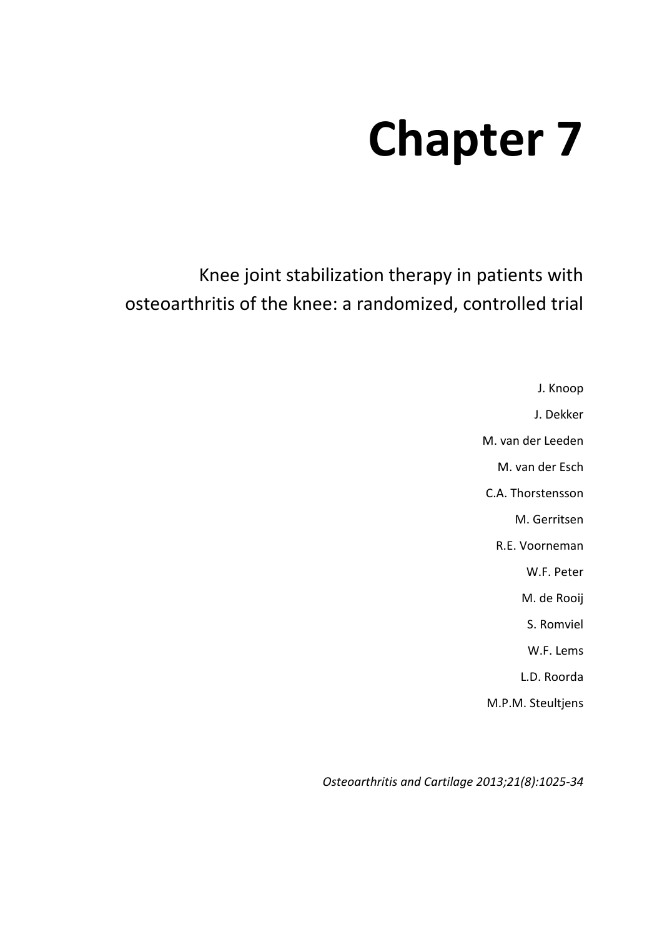# **Chapter 7**

Knee joint stabilization therapy in patients with osteoarthritis of the knee: a randomized, controlled trial

> J. Knoop J. Dekker M. van der Leeden M. van der Esch C.A. Thorstensson M. Gerritsen R.E. Voorneman W.F. Peter M. de Rooij S. Romviel W.F. Lems L.D. Roorda M.P.M. Steultjens

*Osteoarthritis and Cartilage 2013;21(8):1025-34*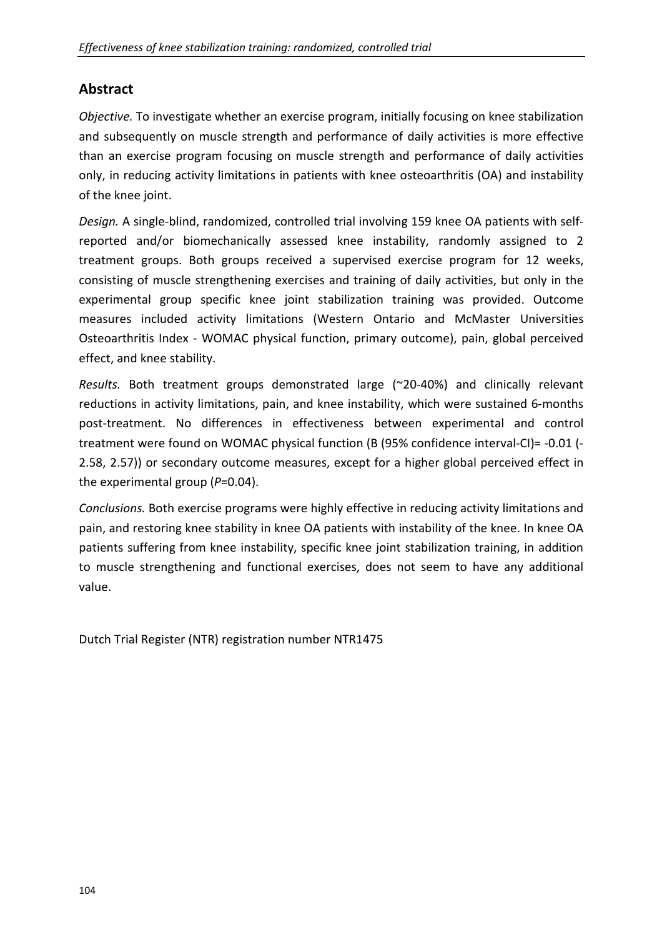# **Abstract**

*Objective.* To investigate whether an exercise program, initially focusing on knee stabilization and subsequently on muscle strength and performance of daily activities is more effective than an exercise program focusing on muscle strength and performance of daily activities only, in reducing activity limitations in patients with knee osteoarthritis (OA) and instability of the knee joint.

*Design.* A single-blind, randomized, controlled trial involving 159 knee OA patients with selfreported and/or biomechanically assessed knee instability, randomly assigned to 2 treatment groups. Both groups received a supervised exercise program for 12 weeks, consisting of muscle strengthening exercises and training of daily activities, but only in the experimental group specific knee joint stabilization training was provided. Outcome measures included activity limitations (Western Ontario and McMaster Universities Osteoarthritis Index - WOMAC physical function, primary outcome), pain, global perceived effect, and knee stability.

*Results.* Both treatment groups demonstrated large (~20-40%) and clinically relevant reductions in activity limitations, pain, and knee instability, which were sustained 6-months post-treatment. No differences in effectiveness between experimental and control treatment were found on WOMAC physical function (B (95% confidence interval-CI)= -0.01 (- 2.58, 2.57)) or secondary outcome measures, except for a higher global perceived effect in the experimental group (*P*=0.04).

*Conclusions.* Both exercise programs were highly effective in reducing activity limitations and pain, and restoring knee stability in knee OA patients with instability of the knee. In knee OA patients suffering from knee instability, specific knee joint stabilization training, in addition to muscle strengthening and functional exercises, does not seem to have any additional value.

Dutch Trial Register (NTR) registration number NTR1475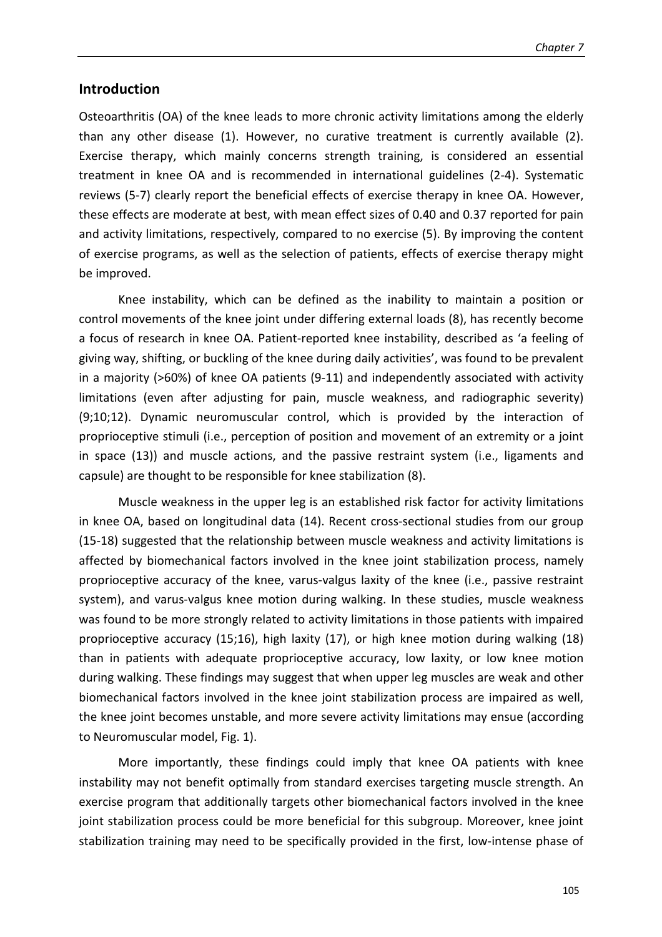#### **Introduction**

Osteoarthritis (OA) of the knee leads to more chronic activity limitations among the elderly than any other disease (1). However, no curative treatment is currently available (2). Exercise therapy, which mainly concerns strength training, is considered an essential treatment in knee OA and is recommended in international guidelines (2-4). Systematic reviews (5-7) clearly report the beneficial effects of exercise therapy in knee OA. However, these effects are moderate at best, with mean effect sizes of 0.40 and 0.37 reported for pain and activity limitations, respectively, compared to no exercise (5). By improving the content of exercise programs, as well as the selection of patients, effects of exercise therapy might be improved.

Knee instability, which can be defined as the inability to maintain a position or control movements of the knee joint under differing external loads (8), has recently become a focus of research in knee OA. Patient-reported knee instability, described as 'a feeling of giving way, shifting, or buckling of the knee during daily activities', was found to be prevalent in a majority (>60%) of knee OA patients (9-11) and independently associated with activity limitations (even after adjusting for pain, muscle weakness, and radiographic severity) (9;10;12). Dynamic neuromuscular control, which is provided by the interaction of proprioceptive stimuli (i.e., perception of position and movement of an extremity or a joint in space (13)) and muscle actions, and the passive restraint system (i.e., ligaments and capsule) are thought to be responsible for knee stabilization (8).

Muscle weakness in the upper leg is an established risk factor for activity limitations in knee OA, based on longitudinal data (14). Recent cross-sectional studies from our group (15-18) suggested that the relationship between muscle weakness and activity limitations is affected by biomechanical factors involved in the knee joint stabilization process, namely proprioceptive accuracy of the knee, varus-valgus laxity of the knee (i.e., passive restraint system), and varus-valgus knee motion during walking. In these studies, muscle weakness was found to be more strongly related to activity limitations in those patients with impaired proprioceptive accuracy (15;16), high laxity (17), or high knee motion during walking (18) than in patients with adequate proprioceptive accuracy, low laxity, or low knee motion during walking. These findings may suggest that when upper leg muscles are weak and other biomechanical factors involved in the knee joint stabilization process are impaired as well, the knee joint becomes unstable, and more severe activity limitations may ensue (according to Neuromuscular model, Fig. 1).

More importantly, these findings could imply that knee OA patients with knee instability may not benefit optimally from standard exercises targeting muscle strength. An exercise program that additionally targets other biomechanical factors involved in the knee joint stabilization process could be more beneficial for this subgroup. Moreover, knee joint stabilization training may need to be specifically provided in the first, low-intense phase of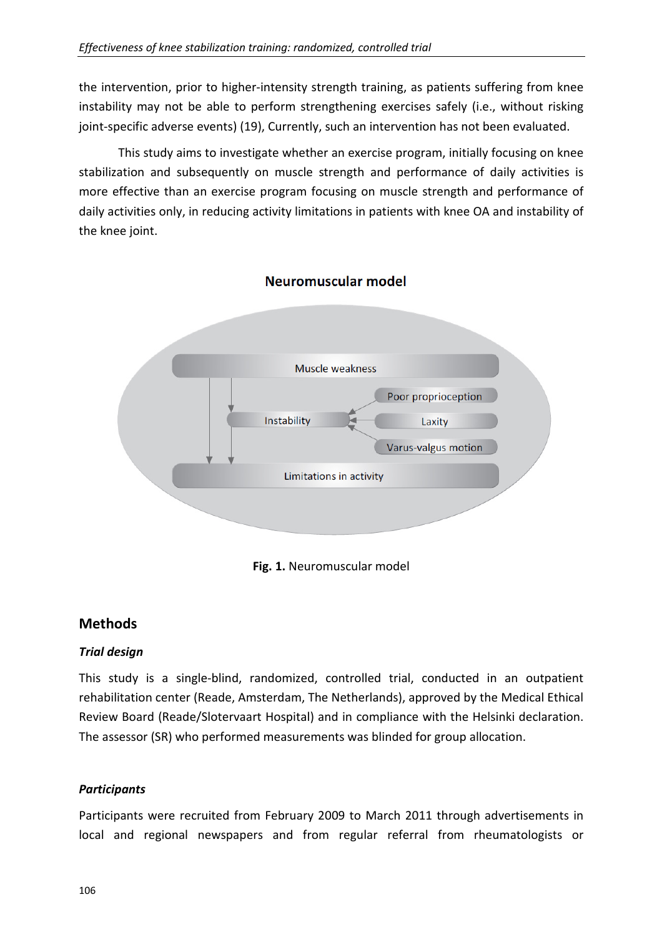the intervention, prior to higher-intensity strength training, as patients suffering from knee instability may not be able to perform strengthening exercises safely (i.e., without risking joint-specific adverse events) (19), Currently, such an intervention has not been evaluated.

This study aims to investigate whether an exercise program, initially focusing on knee stabilization and subsequently on muscle strength and performance of daily activities is more effective than an exercise program focusing on muscle strength and performance of daily activities only, in reducing activity limitations in patients with knee OA and instability of the knee joint.



## Neuromuscular model

**Fig. 1.** Neuromuscular model

# **Methods**

## *Trial design*

This study is a single-blind, randomized, controlled trial, conducted in an outpatient rehabilitation center (Reade, Amsterdam, The Netherlands), approved by the Medical Ethical Review Board (Reade/Slotervaart Hospital) and in compliance with the Helsinki declaration. The assessor (SR) who performed measurements was blinded for group allocation.

## *Participants*

Participants were recruited from February 2009 to March 2011 through advertisements in local and regional newspapers and from regular referral from rheumatologists or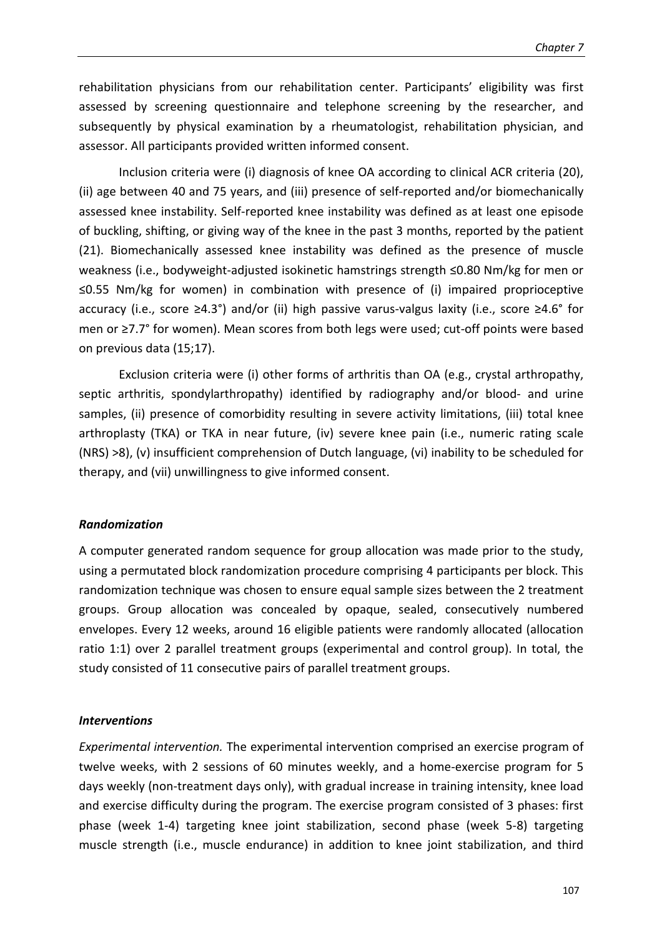rehabilitation physicians from our rehabilitation center. Participants' eligibility was first assessed by screening questionnaire and telephone screening by the researcher, and subsequently by physical examination by a rheumatologist, rehabilitation physician, and assessor. All participants provided written informed consent.

Inclusion criteria were (i) diagnosis of knee OA according to clinical ACR criteria (20), (ii) age between 40 and 75 years, and (iii) presence of self-reported and/or biomechanically assessed knee instability. Self-reported knee instability was defined as at least one episode of buckling, shifting, or giving way of the knee in the past 3 months, reported by the patient (21). Biomechanically assessed knee instability was defined as the presence of muscle weakness (i.e., bodyweight-adjusted isokinetic hamstrings strength ≤0.80 Nm/kg for men or ≤0.55 Nm/kg for women) in combination with presence of (i) impaired proprioceptive accuracy (i.e., score ≥4.3°) and/or (ii) high passive varus-valgus laxity (i.e., score ≥4.6° for men or ≥7.7° for women). Mean scores from both legs were used; cut-off points were based on previous data (15;17).

Exclusion criteria were (i) other forms of arthritis than OA (e.g., crystal arthropathy, septic arthritis, spondylarthropathy) identified by radiography and/or blood- and urine samples, (ii) presence of comorbidity resulting in severe activity limitations, (iii) total knee arthroplasty (TKA) or TKA in near future, (iv) severe knee pain (i.e., numeric rating scale (NRS) >8), (v) insufficient comprehension of Dutch language, (vi) inability to be scheduled for therapy, and (vii) unwillingness to give informed consent.

#### *Randomization*

A computer generated random sequence for group allocation was made prior to the study, using a permutated block randomization procedure comprising 4 participants per block. This randomization technique was chosen to ensure equal sample sizes between the 2 treatment groups. Group allocation was concealed by opaque, sealed, consecutively numbered envelopes. Every 12 weeks, around 16 eligible patients were randomly allocated (allocation ratio 1:1) over 2 parallel treatment groups (experimental and control group). In total, the study consisted of 11 consecutive pairs of parallel treatment groups.

#### *Interventions*

*Experimental intervention.* The experimental intervention comprised an exercise program of twelve weeks, with 2 sessions of 60 minutes weekly, and a home-exercise program for 5 days weekly (non-treatment days only), with gradual increase in training intensity, knee load and exercise difficulty during the program. The exercise program consisted of 3 phases: first phase (week 1-4) targeting knee joint stabilization, second phase (week 5-8) targeting muscle strength (i.e., muscle endurance) in addition to knee joint stabilization, and third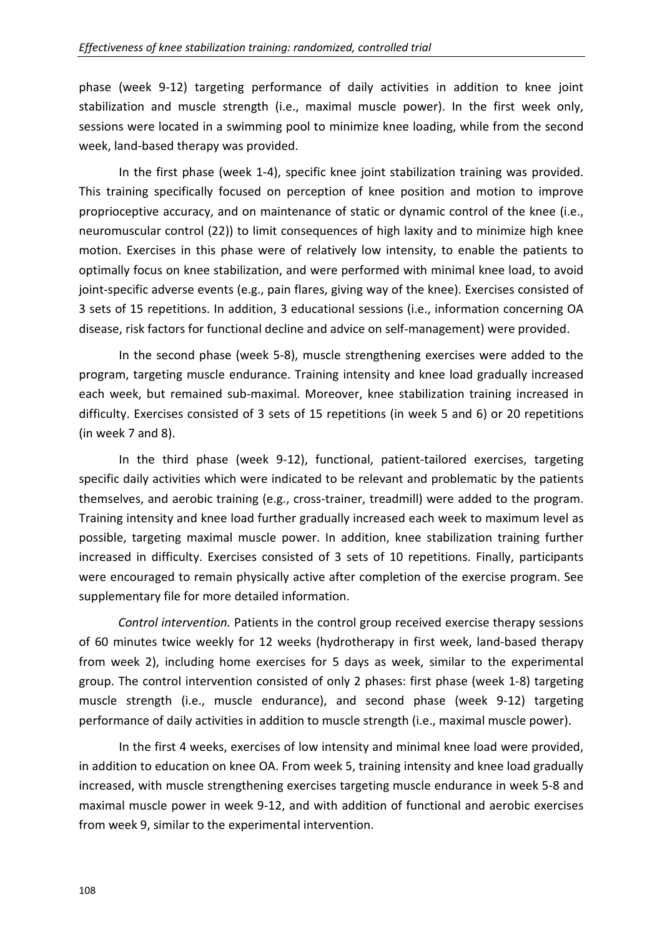phase (week 9-12) targeting performance of daily activities in addition to knee joint stabilization and muscle strength (i.e., maximal muscle power). In the first week only, sessions were located in a swimming pool to minimize knee loading, while from the second week, land-based therapy was provided.

In the first phase (week 1-4), specific knee joint stabilization training was provided. This training specifically focused on perception of knee position and motion to improve proprioceptive accuracy, and on maintenance of static or dynamic control of the knee (i.e., neuromuscular control (22)) to limit consequences of high laxity and to minimize high knee motion. Exercises in this phase were of relatively low intensity, to enable the patients to optimally focus on knee stabilization, and were performed with minimal knee load, to avoid joint-specific adverse events (e.g., pain flares, giving way of the knee). Exercises consisted of 3 sets of 15 repetitions. In addition, 3 educational sessions (i.e., information concerning OA disease, risk factors for functional decline and advice on self-management) were provided.

In the second phase (week 5-8), muscle strengthening exercises were added to the program, targeting muscle endurance. Training intensity and knee load gradually increased each week, but remained sub-maximal. Moreover, knee stabilization training increased in difficulty. Exercises consisted of 3 sets of 15 repetitions (in week 5 and 6) or 20 repetitions (in week 7 and 8).

In the third phase (week 9-12), functional, patient-tailored exercises, targeting specific daily activities which were indicated to be relevant and problematic by the patients themselves, and aerobic training (e.g., cross-trainer, treadmill) were added to the program. Training intensity and knee load further gradually increased each week to maximum level as possible, targeting maximal muscle power. In addition, knee stabilization training further increased in difficulty. Exercises consisted of 3 sets of 10 repetitions. Finally, participants were encouraged to remain physically active after completion of the exercise program. See supplementary file for more detailed information.

*Control intervention.* Patients in the control group received exercise therapy sessions of 60 minutes twice weekly for 12 weeks (hydrotherapy in first week, land-based therapy from week 2), including home exercises for 5 days as week, similar to the experimental group. The control intervention consisted of only 2 phases: first phase (week 1-8) targeting muscle strength (i.e., muscle endurance), and second phase (week 9-12) targeting performance of daily activities in addition to muscle strength (i.e., maximal muscle power).

In the first 4 weeks, exercises of low intensity and minimal knee load were provided, in addition to education on knee OA. From week 5, training intensity and knee load gradually increased, with muscle strengthening exercises targeting muscle endurance in week 5-8 and maximal muscle power in week 9-12, and with addition of functional and aerobic exercises from week 9, similar to the experimental intervention.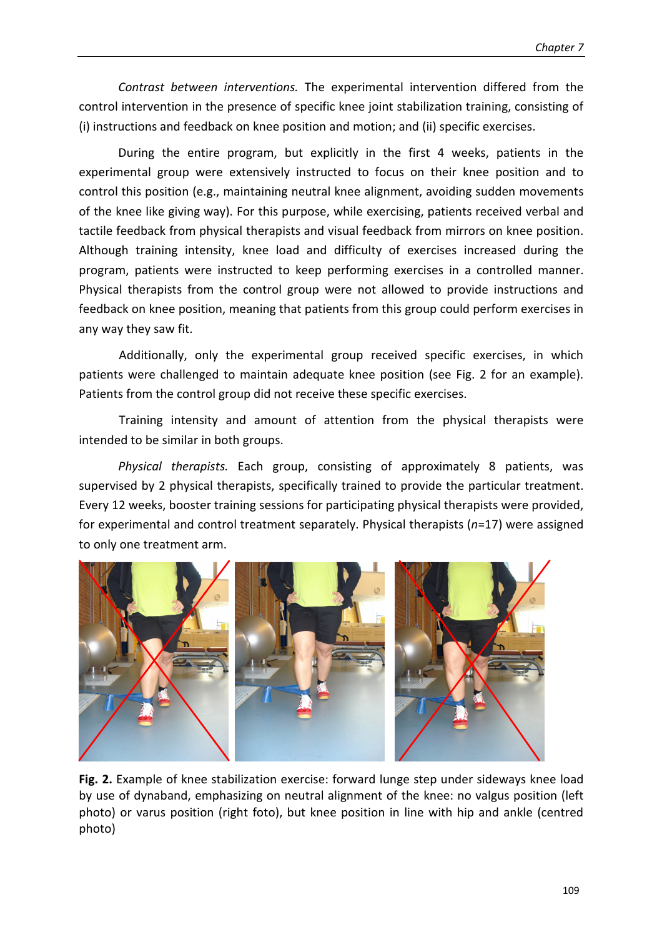*Contrast between interventions.* The experimental intervention differed from the control intervention in the presence of specific knee joint stabilization training, consisting of (i) instructions and feedback on knee position and motion; and (ii) specific exercises.

During the entire program, but explicitly in the first 4 weeks, patients in the experimental group were extensively instructed to focus on their knee position and to control this position (e.g., maintaining neutral knee alignment, avoiding sudden movements of the knee like giving way). For this purpose, while exercising, patients received verbal and tactile feedback from physical therapists and visual feedback from mirrors on knee position. Although training intensity, knee load and difficulty of exercises increased during the program, patients were instructed to keep performing exercises in a controlled manner. Physical therapists from the control group were not allowed to provide instructions and feedback on knee position, meaning that patients from this group could perform exercises in any way they saw fit.

Additionally, only the experimental group received specific exercises, in which patients were challenged to maintain adequate knee position (see Fig. 2 for an example). Patients from the control group did not receive these specific exercises.

Training intensity and amount of attention from the physical therapists were intended to be similar in both groups.

*Physical therapists.* Each group, consisting of approximately 8 patients, was supervised by 2 physical therapists, specifically trained to provide the particular treatment. Every 12 weeks, booster training sessions for participating physical therapists were provided, for experimental and control treatment separately. Physical therapists (*n*=17) were assigned to only one treatment arm.



Fig. 2. Example of knee stabilization exercise: forward lunge step under sideways knee load by use of dynaband, emphasizing on neutral alignment of the knee: no valgus position (left photo) or varus position (right foto), but knee position in line with hip and ankle (centred photo)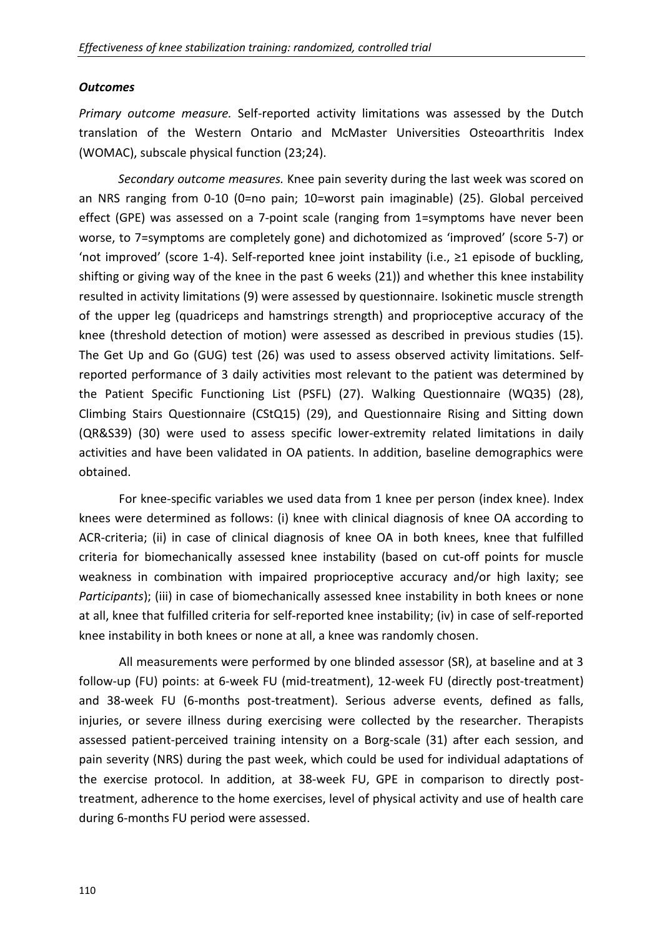## *Outcomes*

*Primary outcome measure.* Self-reported activity limitations was assessed by the Dutch translation of the Western Ontario and McMaster Universities Osteoarthritis Index (WOMAC), subscale physical function (23;24).

*Secondary outcome measures.* Knee pain severity during the last week was scored on an NRS ranging from 0-10 (0=no pain; 10=worst pain imaginable) (25). Global perceived effect (GPE) was assessed on a 7-point scale (ranging from 1=symptoms have never been worse, to 7=symptoms are completely gone) and dichotomized as 'improved' (score 5-7) or 'not improved' (score 1-4). Self-reported knee joint instability (i.e., ≥1 episode of buckling, shifting or giving way of the knee in the past 6 weeks (21)) and whether this knee instability resulted in activity limitations (9) were assessed by questionnaire. Isokinetic muscle strength of the upper leg (quadriceps and hamstrings strength) and proprioceptive accuracy of the knee (threshold detection of motion) were assessed as described in previous studies (15). The Get Up and Go (GUG) test (26) was used to assess observed activity limitations. Selfreported performance of 3 daily activities most relevant to the patient was determined by the Patient Specific Functioning List (PSFL) (27). Walking Questionnaire (WQ35) (28), Climbing Stairs Questionnaire (CStQ15) (29), and Questionnaire Rising and Sitting down (QR&S39) (30) were used to assess specific lower-extremity related limitations in daily activities and have been validated in OA patients. In addition, baseline demographics were obtained.

For knee-specific variables we used data from 1 knee per person (index knee). Index knees were determined as follows: (i) knee with clinical diagnosis of knee OA according to ACR-criteria; (ii) in case of clinical diagnosis of knee OA in both knees, knee that fulfilled criteria for biomechanically assessed knee instability (based on cut-off points for muscle weakness in combination with impaired proprioceptive accuracy and/or high laxity; see *Participants*); (iii) in case of biomechanically assessed knee instability in both knees or none at all, knee that fulfilled criteria for self-reported knee instability; (iv) in case of self-reported knee instability in both knees or none at all, a knee was randomly chosen.

All measurements were performed by one blinded assessor (SR), at baseline and at 3 follow-up (FU) points: at 6-week FU (mid-treatment), 12-week FU (directly post-treatment) and 38-week FU (6-months post-treatment). Serious adverse events, defined as falls, injuries, or severe illness during exercising were collected by the researcher. Therapists assessed patient-perceived training intensity on a Borg-scale (31) after each session, and pain severity (NRS) during the past week, which could be used for individual adaptations of the exercise protocol. In addition, at 38-week FU, GPE in comparison to directly posttreatment, adherence to the home exercises, level of physical activity and use of health care during 6-months FU period were assessed.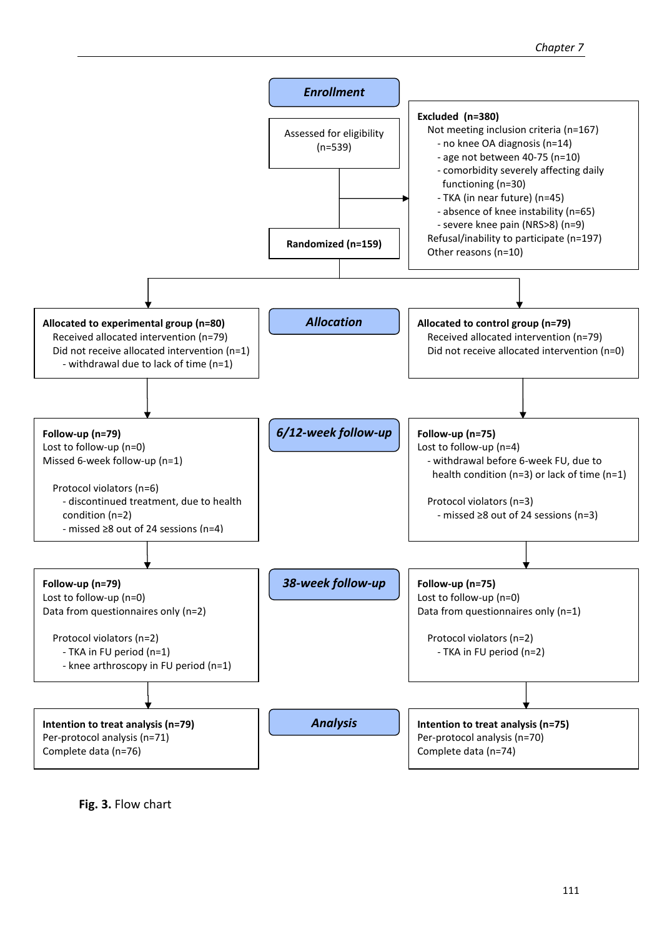

**Fig. 3.** Flow chart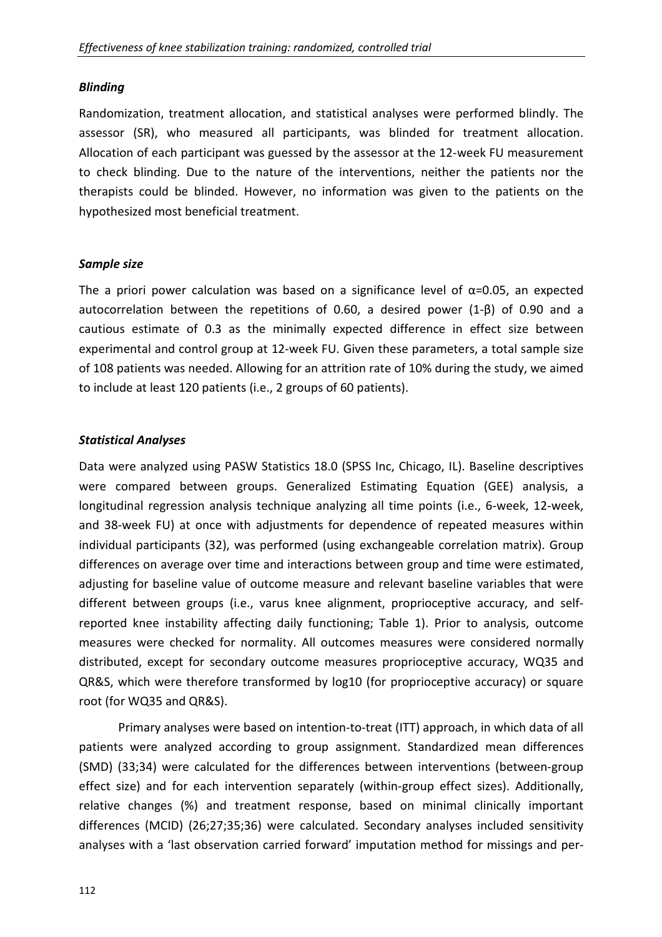## *Blinding*

Randomization, treatment allocation, and statistical analyses were performed blindly. The assessor (SR), who measured all participants, was blinded for treatment allocation. Allocation of each participant was guessed by the assessor at the 12-week FU measurement to check blinding. Due to the nature of the interventions, neither the patients nor the therapists could be blinded. However, no information was given to the patients on the hypothesized most beneficial treatment.

## *Sample size*

The a priori power calculation was based on a significance level of  $\alpha$ =0.05, an expected autocorrelation between the repetitions of 0.60, a desired power (1-β) of 0.90 and a cautious estimate of 0.3 as the minimally expected difference in effect size between experimental and control group at 12-week FU. Given these parameters, a total sample size of 108 patients was needed. Allowing for an attrition rate of 10% during the study, we aimed to include at least 120 patients (i.e., 2 groups of 60 patients).

## *Statistical Analyses*

Data were analyzed using PASW Statistics 18.0 (SPSS Inc, Chicago, IL). Baseline descriptives were compared between groups. Generalized Estimating Equation (GEE) analysis, a longitudinal regression analysis technique analyzing all time points (i.e., 6-week, 12-week, and 38-week FU) at once with adjustments for dependence of repeated measures within individual participants (32), was performed (using exchangeable correlation matrix). Group differences on average over time and interactions between group and time were estimated, adjusting for baseline value of outcome measure and relevant baseline variables that were different between groups (i.e., varus knee alignment, proprioceptive accuracy, and selfreported knee instability affecting daily functioning; Table 1). Prior to analysis, outcome measures were checked for normality. All outcomes measures were considered normally distributed, except for secondary outcome measures proprioceptive accuracy, WQ35 and QR&S, which were therefore transformed by log10 (for proprioceptive accuracy) or square root (for WQ35 and QR&S).

Primary analyses were based on intention-to-treat (ITT) approach, in which data of all patients were analyzed according to group assignment. Standardized mean differences (SMD) (33;34) were calculated for the differences between interventions (between-group effect size) and for each intervention separately (within-group effect sizes). Additionally, relative changes (%) and treatment response, based on minimal clinically important differences (MCID) (26;27;35;36) were calculated. Secondary analyses included sensitivity analyses with a 'last observation carried forward' imputation method for missings and per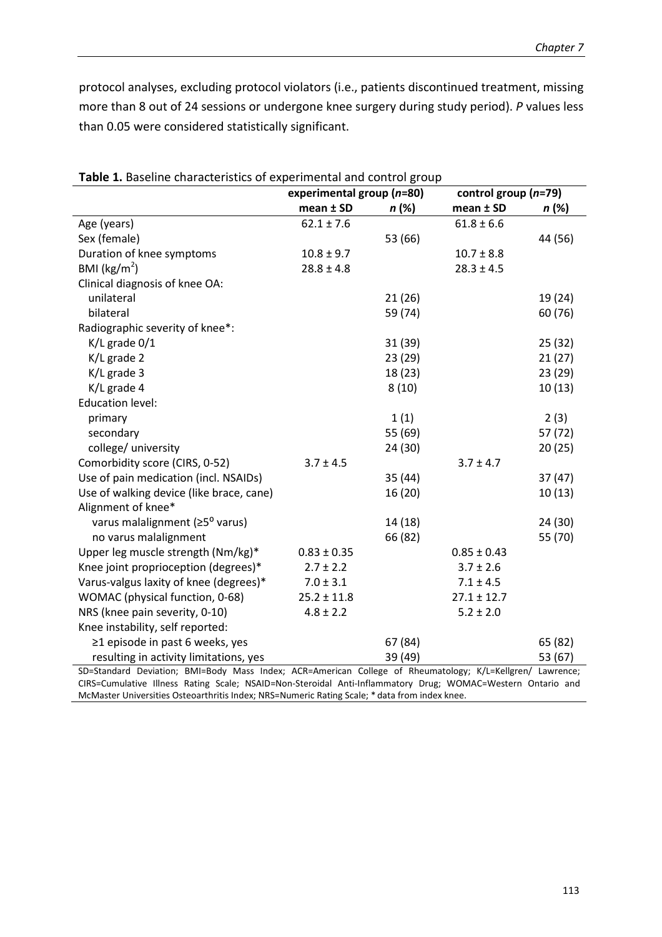protocol analyses, excluding protocol violators (i.e., patients discontinued treatment, missing more than 8 out of 24 sessions or undergone knee surgery during study period). *P* values less than 0.05 were considered statistically significant.

| <b>Sic 1.</b> Daschine enaracteristics or experimental and control group | experimental group (n=80) |         | control group $(n=79)$ |         |  |
|--------------------------------------------------------------------------|---------------------------|---------|------------------------|---------|--|
|                                                                          | mean ± SD                 | n (%)   | mean ± SD              | n (%)   |  |
| Age (years)                                                              | $62.1 \pm 7.6$            |         | $61.8 \pm 6.6$         |         |  |
| Sex (female)                                                             |                           | 53 (66) |                        | 44 (56) |  |
| Duration of knee symptoms                                                | $10.8 \pm 9.7$            |         | $10.7 \pm 8.8$         |         |  |
| BMI ( $\text{kg/m}^2$ )                                                  | $28.8 \pm 4.8$            |         | $28.3 \pm 4.5$         |         |  |
| Clinical diagnosis of knee OA:                                           |                           |         |                        |         |  |
| unilateral                                                               |                           | 21 (26) |                        | 19 (24) |  |
| bilateral                                                                |                           | 59 (74) |                        | 60 (76) |  |
| Radiographic severity of knee*:                                          |                           |         |                        |         |  |
| $K/L$ grade $0/1$                                                        |                           | 31 (39) |                        | 25(32)  |  |
| K/L grade 2                                                              |                           | 23(29)  |                        | 21(27)  |  |
| $K/L$ grade 3                                                            |                           | 18 (23) |                        | 23(29)  |  |
| K/L grade 4                                                              |                           | 8(10)   |                        | 10(13)  |  |
| <b>Education level:</b>                                                  |                           |         |                        |         |  |
| primary                                                                  |                           | 1(1)    |                        | 2(3)    |  |
| secondary                                                                |                           | 55 (69) |                        | 57 (72) |  |
| college/ university                                                      |                           | 24 (30) |                        | 20(25)  |  |
| Comorbidity score (CIRS, 0-52)                                           | $3.7 \pm 4.5$             |         | $3.7 \pm 4.7$          |         |  |
| Use of pain medication (incl. NSAIDs)                                    |                           | 35(44)  |                        | 37(47)  |  |
| Use of walking device (like brace, cane)                                 |                           | 16 (20) |                        | 10(13)  |  |
| Alignment of knee*                                                       |                           |         |                        |         |  |
| varus malalignment (≥5 <sup>o</sup> varus)                               |                           | 14 (18) |                        | 24 (30) |  |
| no varus malalignment                                                    |                           | 66 (82) |                        | 55 (70) |  |
| Upper leg muscle strength (Nm/kg)*                                       | $0.83 \pm 0.35$           |         | $0.85 \pm 0.43$        |         |  |
| Knee joint proprioception (degrees)*                                     | $2.7 \pm 2.2$             |         | $3.7 \pm 2.6$          |         |  |
| Varus-valgus laxity of knee (degrees)*                                   | $7.0 \pm 3.1$             |         | $7.1 \pm 4.5$          |         |  |
| WOMAC (physical function, 0-68)                                          | $25.2 \pm 11.8$           |         | $27.1 \pm 12.7$        |         |  |
| NRS (knee pain severity, 0-10)                                           | $4.8 \pm 2.2$             |         | $5.2 \pm 2.0$          |         |  |
| Knee instability, self reported:                                         |                           |         |                        |         |  |
| ≥1 episode in past 6 weeks, yes                                          |                           | 67 (84) |                        | 65 (82) |  |
| resulting in activity limitations, yes                                   |                           | 39 (49) |                        | 53 (67) |  |

**Table 1.** Baseline characteristics of experimental and control group

SD=Standard Deviation; BMI=Body Mass Index; ACR=American College of Rheumatology; K/L=Kellgren/ Lawrence; CIRS=Cumulative Illness Rating Scale; NSAID=Non-Steroidal Anti-Inflammatory Drug; WOMAC=Western Ontario and McMaster Universities Osteoarthritis Index; NRS=Numeric Rating Scale; \* data from index knee.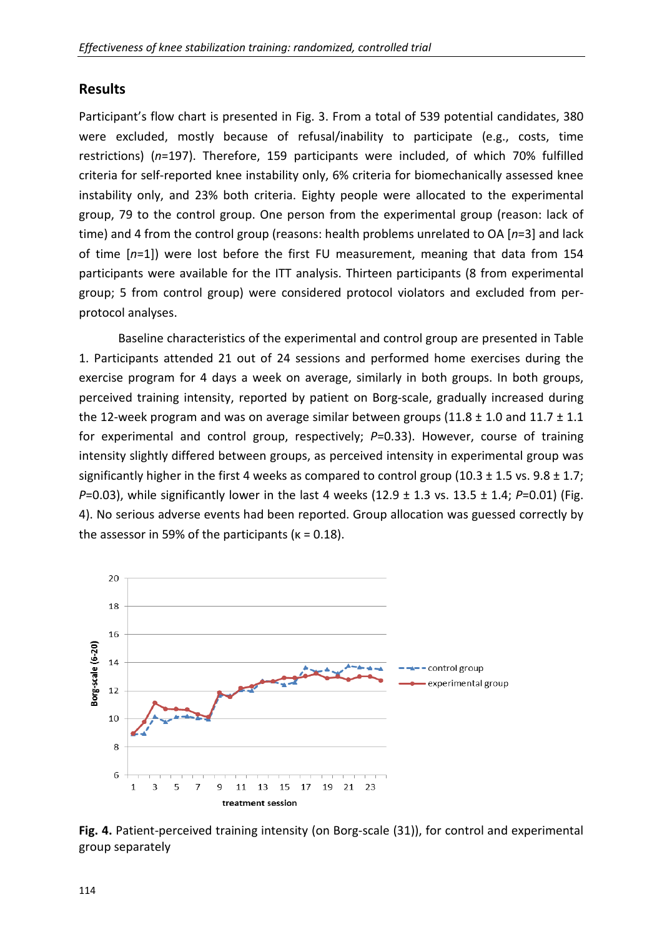## **Results**

Participant's flow chart is presented in Fig. 3. From a total of 539 potential candidates, 380 were excluded, mostly because of refusal/inability to participate (e.g., costs, time restrictions) (*n*=197). Therefore, 159 participants were included, of which 70% fulfilled criteria for self-reported knee instability only, 6% criteria for biomechanically assessed knee instability only, and 23% both criteria. Eighty people were allocated to the experimental group, 79 to the control group. One person from the experimental group (reason: lack of time) and 4 from the control group (reasons: health problems unrelated to OA [*n*=3] and lack of time [*n*=1]) were lost before the first FU measurement, meaning that data from 154 participants were available for the ITT analysis. Thirteen participants (8 from experimental group; 5 from control group) were considered protocol violators and excluded from perprotocol analyses.

Baseline characteristics of the experimental and control group are presented in Table 1. Participants attended 21 out of 24 sessions and performed home exercises during the exercise program for 4 days a week on average, similarly in both groups. In both groups, perceived training intensity, reported by patient on Borg-scale, gradually increased during the 12-week program and was on average similar between groups (11.8  $\pm$  1.0 and 11.7  $\pm$  1.1 for experimental and control group, respectively; *P*=0.33). However, course of training intensity slightly differed between groups, as perceived intensity in experimental group was significantly higher in the first 4 weeks as compared to control group (10.3  $\pm$  1.5 vs. 9.8  $\pm$  1.7; *P*=0.03), while significantly lower in the last 4 weeks (12.9  $\pm$  1.3 vs. 13.5  $\pm$  1.4; *P*=0.01) (Fig. 4). No serious adverse events had been reported. Group allocation was guessed correctly by the assessor in 59% of the participants ( $\kappa = 0.18$ ).



**Fig. 4.** Patient-perceived training intensity (on Borg-scale (31)), for control and experimental group separately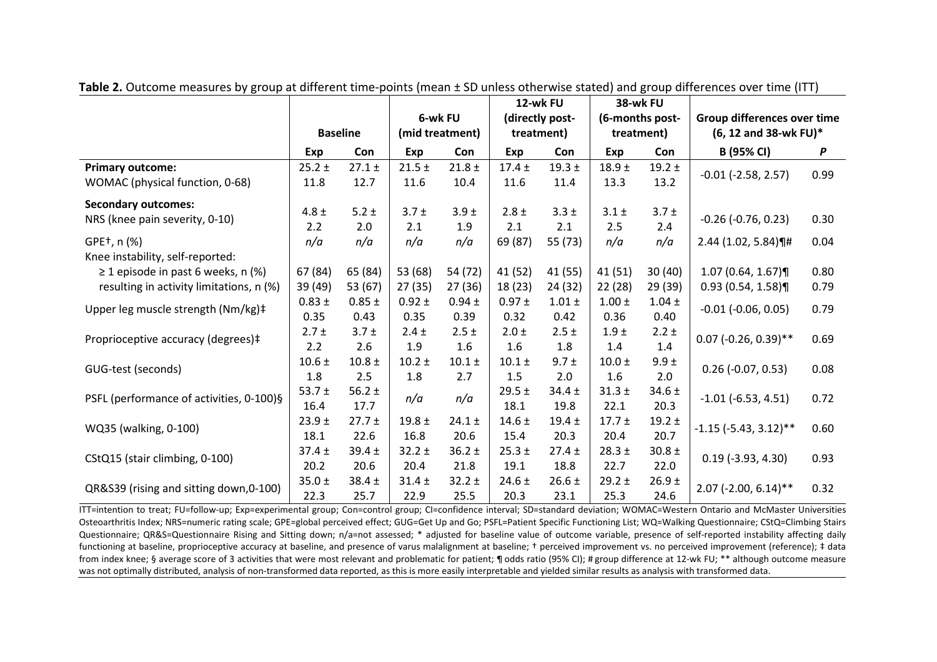|                                          |            |                 |                 |            |            | 12-wk FU        | 38-wk FU        |            |                                    |      |
|------------------------------------------|------------|-----------------|-----------------|------------|------------|-----------------|-----------------|------------|------------------------------------|------|
|                                          |            |                 | 6-wk FU         |            |            | (directly post- | (6-months post- |            | <b>Group differences over time</b> |      |
|                                          |            | <b>Baseline</b> | (mid treatment) |            | treatment) |                 | treatment)      |            | (6, 12 and 38-wk FU)*              |      |
|                                          | <b>Exp</b> | Con             | <b>Exp</b>      | Con        | Exp        | Con             | Exp             | Con        | B (95% CI)                         | P    |
| <b>Primary outcome:</b>                  | $25.2 \pm$ | $27.1 \pm$      | $21.5 \pm$      | $21.8 \pm$ | $17.4 \pm$ | 19.3 $\pm$      | $18.9 +$        | 19.2 $\pm$ |                                    | 0.99 |
| WOMAC (physical function, 0-68)          | 11.8       | 12.7            | 11.6            | 10.4       | 11.6       | 11.4            | 13.3            | 13.2       | $-0.01$ $(-2.58, 2.57)$            |      |
| <b>Secondary outcomes:</b>               |            |                 |                 |            |            |                 |                 |            |                                    |      |
| NRS (knee pain severity, 0-10)           | $4.8 \pm$  | 5.2 $\pm$       | $3.7 \pm$       | $3.9 \pm$  | $2.8 \pm$  | $3.3 \pm$       | $3.1 \pm$       | $3.7 \pm$  | $-0.26$ ( $-0.76$ , 0.23)          | 0.30 |
|                                          | 2.2        | 2.0             | 2.1             | 1.9        | 2.1        | 2.1             | 2.5             | 2.4        |                                    |      |
| GPE <sup>+</sup> , n (%)                 | n/a        | n/a             | n/a             | n/a        | 69 (87)    | 55 (73)         | n/a             | n/a        | 2.44 (1.02, 5.84)¶#                | 0.04 |
| Knee instability, self-reported:         |            |                 |                 |            |            |                 |                 |            |                                    |      |
| $\geq$ 1 episode in past 6 weeks, n (%)  | 67 (84)    | 65 (84)         | 53 (68)         | 54 (72)    | 41 (52)    | 41 (55)         | 41 (51)         | 30(40)     | $1.07(0.64, 1.67)$ ¶               | 0.80 |
| resulting in activity limitations, n (%) | 39 (49)    | 53 (67)         | 27(35)          | 27 (36)    | 18(23)     | 24 (32)         | 22(28)          | 29 (39)    | 0.93(0.54, 1.58)                   | 0.79 |
| Upper leg muscle strength (Nm/kg)‡       | $0.83 \pm$ | $0.85 \pm$      | $0.92 \pm$      | $0.94 \pm$ | $0.97 +$   | $1.01 \pm$      | $1.00 \pm$      | $1.04 \pm$ | $-0.01$ $(-0.06, 0.05)$            | 0.79 |
|                                          | 0.35       | 0.43            | 0.35            | 0.39       | 0.32       | 0.42            | 0.36            | 0.40       |                                    |      |
|                                          | $2.7 \pm$  | $3.7 +$         | $2.4 \pm$       | $2.5 \pm$  | $2.0 \pm$  | $2.5 \pm$       | $1.9 \pm$       | $2.2 \pm$  | $0.07$ (-0.26, 0.39)**             | 0.69 |
| Proprioceptive accuracy (degrees)#       | 2.2        | 2.6             | 1.9             | 1.6        | 1.6        | 1.8             | 1.4             | 1.4        |                                    |      |
| GUG-test (seconds)                       | $10.6 \pm$ | $10.8 \pm$      | $10.2 \pm$      | $10.1 \pm$ | $10.1 \pm$ | $9.7 +$         | $10.0 \pm$      | $9.9 \pm$  | $0.26$ (-0.07, 0.53)               | 0.08 |
|                                          | 1.8        | 2.5             | 1.8             | 2.7        | 1.5        | 2.0             | 1.6             | 2.0        |                                    |      |
| PSFL (performance of activities, 0-100)§ | 53.7 $±$   | 56.2 $\pm$      | n/a             | n/a        | $29.5 \pm$ | $34.4 \pm$      | $31.3 +$        | $34.6 \pm$ | $-1.01$ ( $-6.53$ , 4.51)          | 0.72 |
|                                          | 16.4       | 17.7            |                 |            | 18.1       | 19.8            | 22.1            | 20.3       |                                    |      |
| WQ35 (walking, 0-100)                    | $23.9 +$   | $27.7 \pm$      | 19.8 $\pm$      | $24.1 \pm$ | $14.6 \pm$ | 19.4 $\pm$      | $17.7 \pm$      | $19.2 \pm$ | $-1.15$ ( $-5.43$ , $3.12$ )**     | 0.60 |
|                                          | 18.1       | 22.6            | 16.8            | 20.6       | 15.4       | 20.3            | 20.4            | 20.7       |                                    |      |
| CStQ15 (stair climbing, 0-100)           | $37.4 \pm$ | $39.4 \pm$      | $32.2 \pm$      | $36.2 \pm$ | $25.3 \pm$ | $27.4 \pm$      | $28.3 \pm$      | $30.8 \pm$ |                                    |      |
|                                          | 20.2       | 20.6            | 20.4            | 21.8       | 19.1       | 18.8            | 22.7            | 22.0       | $0.19$ (-3.93, 4.30)               | 0.93 |
| QR&S39 (rising and sitting down, 0-100)  | $35.0 \pm$ | $38.4 \pm$      | $31.4 \pm$      | $32.2 \pm$ | $24.6 \pm$ | $26.6 \pm$      | $29.2 \pm$      | $26.9 +$   |                                    |      |
|                                          | 22.3       | 25.7            | 22.9            | 25.5       | 20.3       | 23.1            | 25.3            | 24.6       | $2.07$ (-2.00, 6.14)**             | 0.32 |

**Table 2.** Outcome measures by group at different time-points (mean ± SD unless otherwise stated) and group differences over time (ITT)

ITT=intention to treat; FU=follow-up; Exp=experimental group; Con=control group; CI=confidence interval; SD=standard deviation; WOMAC=Western Ontario and McMaster Universities Osteoarthritis Index; NRS=numeric rating scale; GPE=global perceived effect; GUG=Get Up and Go; PSFL=Patient Specific Functioning List; WQ=Walking Questionnaire; CStQ=Climbing Stairs Questionnaire; QR&S=Questionnaire Rising and Sitting down; n/a=not assessed; \* adjusted for baseline value of outcome variable, presence of self-reported instability affecting daily functioning at baseline, proprioceptive accuracy at baseline, and presence of varus malalignment at baseline; † perceived improvement vs. no perceived improvement (reference); ‡ data from index knee; § average score of 3 activities that were most relevant and problematic for patient; ¶ odds ratio (95% CI); # group difference at 12-wk FU; \*\* although outcome measure was not optimally distributed, analysis of non-transformed data reported, as this is more easily interpretable and yielded similar results as analysis with transformed data.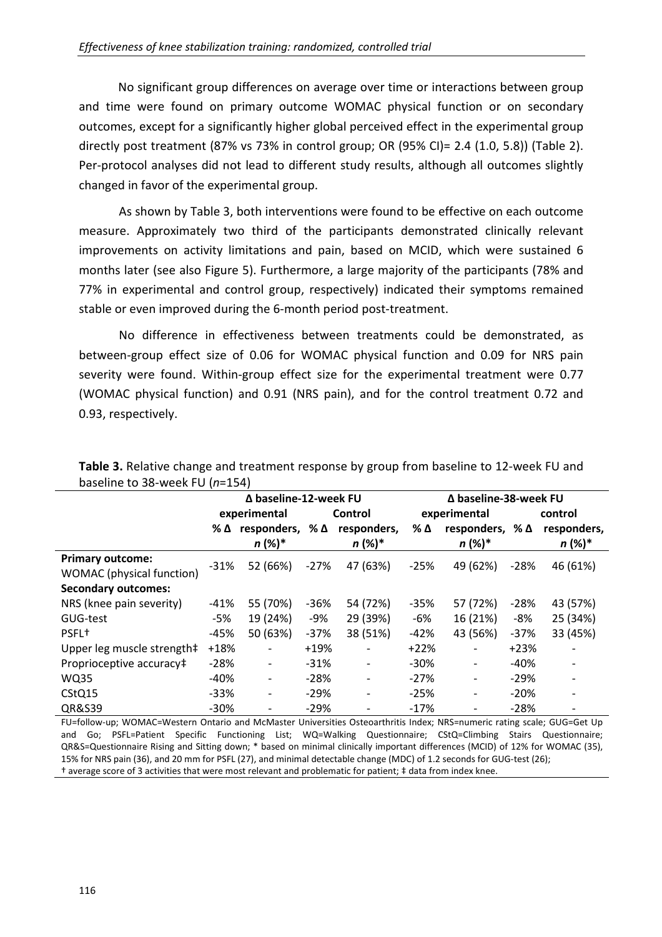No significant group differences on average over time or interactions between group and time were found on primary outcome WOMAC physical function or on secondary outcomes, except for a significantly higher global perceived effect in the experimental group directly post treatment (87% vs 73% in control group; OR (95% CI)= 2.4 (1.0, 5.8)) (Table 2). Per-protocol analyses did not lead to different study results, although all outcomes slightly changed in favor of the experimental group.

As shown by Table 3, both interventions were found to be effective on each outcome measure. Approximately two third of the participants demonstrated clinically relevant improvements on activity limitations and pain, based on MCID, which were sustained 6 months later (see also Figure 5). Furthermore, a large majority of the participants (78% and 77% in experimental and control group, respectively) indicated their symptoms remained stable or even improved during the 6-month period post-treatment.

No difference in effectiveness between treatments could be demonstrated, as between-group effect size of 0.06 for WOMAC physical function and 0.09 for NRS pain severity were found. Within-group effect size for the experimental treatment were 0.77 (WOMAC physical function) and 0.91 (NRS pain), and for the control treatment 0.72 and 0.93, respectively.

|                            | ∆ baseline-12-week FU |                           |         |                          | ∆ baseline-38-week FU |                          |         |             |  |
|----------------------------|-----------------------|---------------------------|---------|--------------------------|-----------------------|--------------------------|---------|-------------|--|
|                            | experimental          |                           | Control |                          |                       | experimental             | control |             |  |
|                            | % ∆                   | responders, $\%$ $\Delta$ |         | responders,              | % Δ                   | responders, % $\Delta$   |         | responders, |  |
|                            |                       | $n (%)^*$                 |         | $n (%)^*$                |                       | $n (%)^*$                |         | n (%)*      |  |
| <b>Primary outcome:</b>    | $-31%$                | 52 (66%)                  | $-27%$  | 47 (63%)                 | $-25%$                | 49 (62%)                 | $-28%$  | 46 (61%)    |  |
| WOMAC (physical function)  |                       |                           |         |                          |                       |                          |         |             |  |
| <b>Secondary outcomes:</b> |                       |                           |         |                          |                       |                          |         |             |  |
| NRS (knee pain severity)   | $-41%$                | 55 (70%)                  | -36%    | 54 (72%)                 | $-35%$                | 57 (72%)                 | $-28%$  | 43 (57%)    |  |
| GUG-test                   | -5%                   | 19 (24%)                  | -9%     | 29 (39%)                 | -6%                   | 16 (21%)                 | -8%     | 25 (34%)    |  |
| PSFL <sup>+</sup>          | -45%                  | 50 (63%)                  | $-37%$  | 38 (51%)                 | $-42%$                | 43 (56%)                 | $-37%$  | 33 (45%)    |  |
| Upper leg muscle strength‡ | $+18%$                | $\overline{\phantom{a}}$  | $+19%$  | $\overline{\phantom{a}}$ | $+22%$                | $\overline{\phantom{a}}$ | $+23%$  |             |  |
| Proprioceptive accuracy‡   | $-28%$                | $\overline{\phantom{a}}$  | $-31%$  | $\overline{\phantom{a}}$ | $-30%$                | $\overline{\phantom{a}}$ | $-40%$  |             |  |
| <b>WQ35</b>                | -40%                  | $\overline{\phantom{a}}$  | $-28%$  | $\overline{\phantom{a}}$ | $-27%$                | $\overline{\phantom{a}}$ | $-29%$  |             |  |
| CStQ15                     | $-33%$                | $\overline{\phantom{a}}$  | $-29%$  | $\overline{\phantom{a}}$ | $-25%$                | $\overline{\phantom{a}}$ | $-20%$  |             |  |
| QR&S39                     | $-30%$                |                           | $-29%$  |                          | $-17%$                |                          | $-28%$  |             |  |

**Table 3.** Relative change and treatment response by group from baseline to 12-week FU and baseline to 38-week FU (*n*=154)

FU=follow-up; WOMAC=Western Ontario and McMaster Universities Osteoarthritis Index; NRS=numeric rating scale; GUG=Get Up and Go; PSFL=Patient Specific Functioning List; WQ=Walking Questionnaire; CStQ=Climbing Stairs Questionnaire; QR&S=Questionnaire Rising and Sitting down; \* based on minimal clinically important differences (MCID) of 12% for WOMAC (35), 15% for NRS pain (36), and 20 mm for PSFL (27), and minimal detectable change (MDC) of 1.2 seconds for GUG-test (26); † average score of 3 activities that were most relevant and problematic for patient; ‡ data from index knee.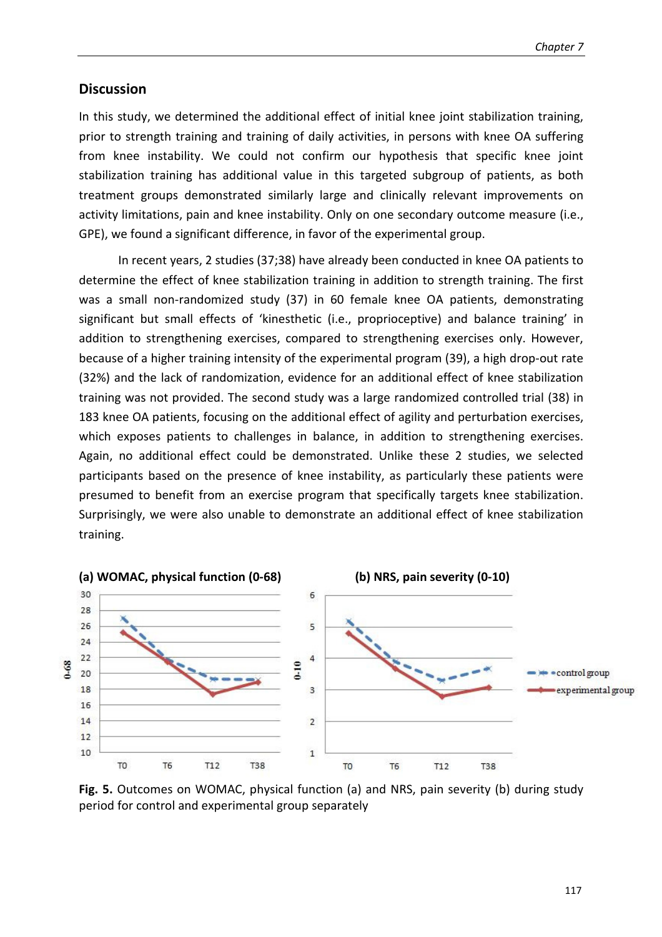## **Discussion**

In this study, we determined the additional effect of initial knee joint stabilization training, prior to strength training and training of daily activities, in persons with knee OA suffering from knee instability. We could not confirm our hypothesis that specific knee joint stabilization training has additional value in this targeted subgroup of patients, as both treatment groups demonstrated similarly large and clinically relevant improvements on activity limitations, pain and knee instability. Only on one secondary outcome measure (i.e., GPE), we found a significant difference, in favor of the experimental group.

 In recent years, 2 studies (37;38) have already been conducted in knee OA patients to determine the effect of knee stabilization training in addition to strength training. The first was a small non-randomized study (37) in 60 female knee OA patients, demonstrating significant but small effects of 'kinesthetic (i.e., proprioceptive) and balance training' in addition to strengthening exercises, compared to strengthening exercises only. However, because of a higher training intensity of the experimental program (39), a high drop-out rate (32%) and the lack of randomization, evidence for an additional effect of knee stabilization training was not provided. The second study was a large randomized controlled trial (38) in 183 knee OA patients, focusing on the additional effect of agility and perturbation exercises, which exposes patients to challenges in balance, in addition to strengthening exercises. Again, no additional effect could be demonstrated. Unlike these 2 studies, we selected participants based on the presence of knee instability, as particularly these patients were presumed to benefit from an exercise program that specifically targets knee stabilization. Surprisingly, we were also unable to demonstrate an additional effect of knee stabilization training.



**Fig. 5.** Outcomes on WOMAC, physical function (a) and NRS, pain severity (b) during study period for control and experimental group separately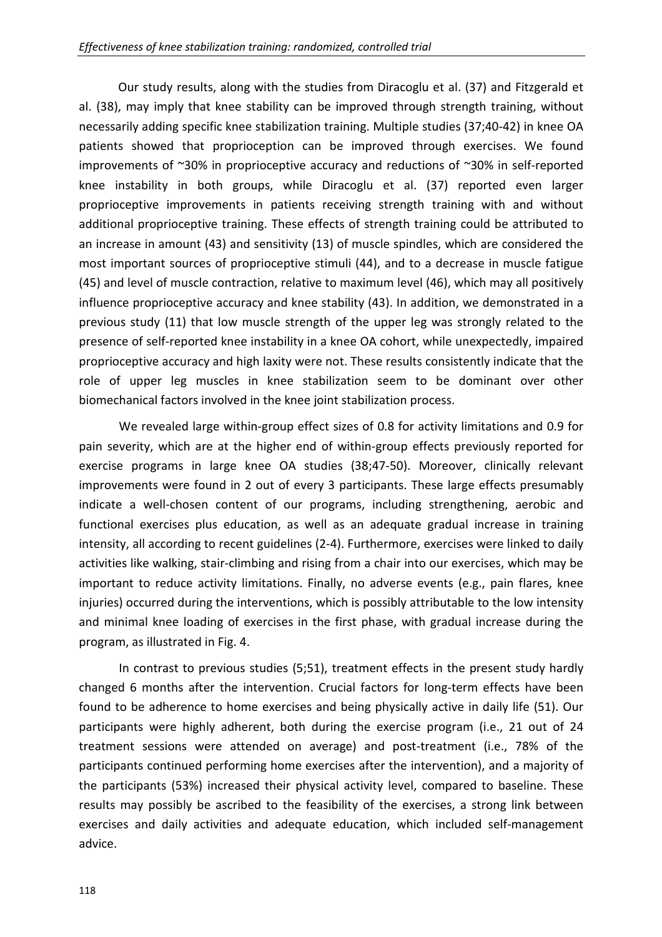Our study results, along with the studies from Diracoglu et al. (37) and Fitzgerald et al. (38), may imply that knee stability can be improved through strength training, without necessarily adding specific knee stabilization training. Multiple studies (37;40-42) in knee OA patients showed that proprioception can be improved through exercises. We found improvements of ~30% in proprioceptive accuracy and reductions of ~30% in self-reported knee instability in both groups, while Diracoglu et al. (37) reported even larger proprioceptive improvements in patients receiving strength training with and without additional proprioceptive training. These effects of strength training could be attributed to an increase in amount (43) and sensitivity (13) of muscle spindles, which are considered the most important sources of proprioceptive stimuli (44), and to a decrease in muscle fatigue (45) and level of muscle contraction, relative to maximum level (46), which may all positively influence proprioceptive accuracy and knee stability (43). In addition, we demonstrated in a previous study (11) that low muscle strength of the upper leg was strongly related to the presence of self-reported knee instability in a knee OA cohort, while unexpectedly, impaired proprioceptive accuracy and high laxity were not. These results consistently indicate that the role of upper leg muscles in knee stabilization seem to be dominant over other biomechanical factors involved in the knee joint stabilization process.

We revealed large within-group effect sizes of 0.8 for activity limitations and 0.9 for pain severity, which are at the higher end of within-group effects previously reported for exercise programs in large knee OA studies (38;47-50). Moreover, clinically relevant improvements were found in 2 out of every 3 participants. These large effects presumably indicate a well-chosen content of our programs, including strengthening, aerobic and functional exercises plus education, as well as an adequate gradual increase in training intensity, all according to recent guidelines (2-4). Furthermore, exercises were linked to daily activities like walking, stair-climbing and rising from a chair into our exercises, which may be important to reduce activity limitations. Finally, no adverse events (e.g., pain flares, knee injuries) occurred during the interventions, which is possibly attributable to the low intensity and minimal knee loading of exercises in the first phase, with gradual increase during the program, as illustrated in Fig. 4.

In contrast to previous studies (5;51), treatment effects in the present study hardly changed 6 months after the intervention. Crucial factors for long-term effects have been found to be adherence to home exercises and being physically active in daily life (51). Our participants were highly adherent, both during the exercise program (i.e., 21 out of 24 treatment sessions were attended on average) and post-treatment (i.e., 78% of the participants continued performing home exercises after the intervention), and a majority of the participants (53%) increased their physical activity level, compared to baseline. These results may possibly be ascribed to the feasibility of the exercises, a strong link between exercises and daily activities and adequate education, which included self-management advice.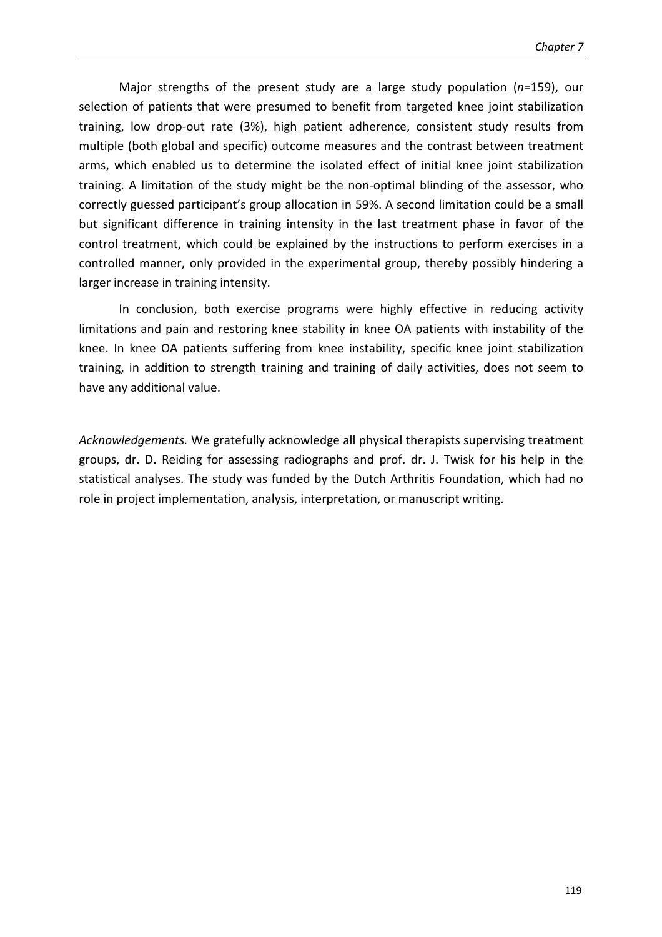Major strengths of the present study are a large study population (*n*=159), our selection of patients that were presumed to benefit from targeted knee joint stabilization training, low drop-out rate (3%), high patient adherence, consistent study results from multiple (both global and specific) outcome measures and the contrast between treatment arms, which enabled us to determine the isolated effect of initial knee joint stabilization training. A limitation of the study might be the non-optimal blinding of the assessor, who correctly guessed participant's group allocation in 59%. A second limitation could be a small but significant difference in training intensity in the last treatment phase in favor of the control treatment, which could be explained by the instructions to perform exercises in a controlled manner, only provided in the experimental group, thereby possibly hindering a larger increase in training intensity.

In conclusion, both exercise programs were highly effective in reducing activity limitations and pain and restoring knee stability in knee OA patients with instability of the knee. In knee OA patients suffering from knee instability, specific knee joint stabilization training, in addition to strength training and training of daily activities, does not seem to have any additional value.

*Acknowledgements.* We gratefully acknowledge all physical therapists supervising treatment groups, dr. D. Reiding for assessing radiographs and prof. dr. J. Twisk for his help in the statistical analyses. The study was funded by the Dutch Arthritis Foundation, which had no role in project implementation, analysis, interpretation, or manuscript writing.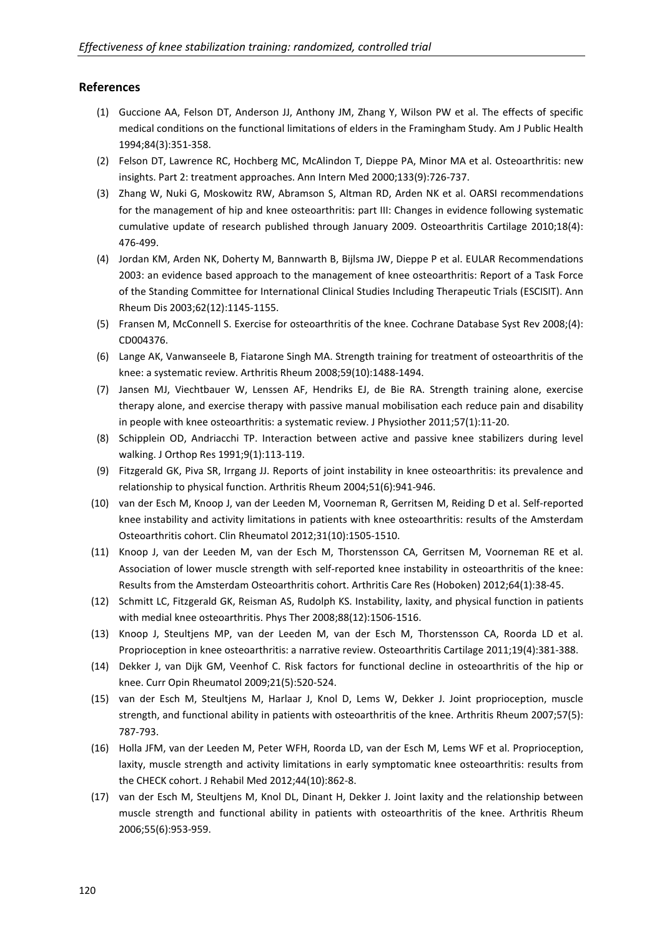#### **References**

- (1) Guccione AA, Felson DT, Anderson JJ, Anthony JM, Zhang Y, Wilson PW et al. The effects of specific medical conditions on the functional limitations of elders in the Framingham Study. Am J Public Health 1994;84(3):351-358.
- (2) Felson DT, Lawrence RC, Hochberg MC, McAlindon T, Dieppe PA, Minor MA et al. Osteoarthritis: new insights. Part 2: treatment approaches. Ann Intern Med 2000;133(9):726-737.
- (3) Zhang W, Nuki G, Moskowitz RW, Abramson S, Altman RD, Arden NK et al. OARSI recommendations for the management of hip and knee osteoarthritis: part III: Changes in evidence following systematic cumulative update of research published through January 2009. Osteoarthritis Cartilage 2010;18(4): 476-499.
- (4) Jordan KM, Arden NK, Doherty M, Bannwarth B, Bijlsma JW, Dieppe P et al. EULAR Recommendations 2003: an evidence based approach to the management of knee osteoarthritis: Report of a Task Force of the Standing Committee for International Clinical Studies Including Therapeutic Trials (ESCISIT). Ann Rheum Dis 2003;62(12):1145-1155.
- (5) Fransen M, McConnell S. Exercise for osteoarthritis of the knee. Cochrane Database Syst Rev 2008;(4): CD004376.
- (6) Lange AK, Vanwanseele B, Fiatarone Singh MA. Strength training for treatment of osteoarthritis of the knee: a systematic review. Arthritis Rheum 2008;59(10):1488-1494.
- (7) Jansen MJ, Viechtbauer W, Lenssen AF, Hendriks EJ, de Bie RA. Strength training alone, exercise therapy alone, and exercise therapy with passive manual mobilisation each reduce pain and disability in people with knee osteoarthritis: a systematic review. J Physiother 2011;57(1):11-20.
- (8) Schipplein OD, Andriacchi TP. Interaction between active and passive knee stabilizers during level walking. J Orthop Res 1991;9(1):113-119.
- (9) Fitzgerald GK, Piva SR, Irrgang JJ. Reports of joint instability in knee osteoarthritis: its prevalence and relationship to physical function. Arthritis Rheum 2004;51(6):941-946.
- (10) van der Esch M, Knoop J, van der Leeden M, Voorneman R, Gerritsen M, Reiding D et al. Self-reported knee instability and activity limitations in patients with knee osteoarthritis: results of the Amsterdam Osteoarthritis cohort. Clin Rheumatol 2012;31(10):1505-1510.
- (11) Knoop J, van der Leeden M, van der Esch M, Thorstensson CA, Gerritsen M, Voorneman RE et al. Association of lower muscle strength with self-reported knee instability in osteoarthritis of the knee: Results from the Amsterdam Osteoarthritis cohort. Arthritis Care Res (Hoboken) 2012;64(1):38-45.
- (12) Schmitt LC, Fitzgerald GK, Reisman AS, Rudolph KS. Instability, laxity, and physical function in patients with medial knee osteoarthritis. Phys Ther 2008;88(12):1506-1516.
- (13) Knoop J, Steultjens MP, van der Leeden M, van der Esch M, Thorstensson CA, Roorda LD et al. Proprioception in knee osteoarthritis: a narrative review. Osteoarthritis Cartilage 2011;19(4):381-388.
- (14) Dekker J, van Dijk GM, Veenhof C. Risk factors for functional decline in osteoarthritis of the hip or knee. Curr Opin Rheumatol 2009;21(5):520-524.
- (15) van der Esch M, Steultjens M, Harlaar J, Knol D, Lems W, Dekker J. Joint proprioception, muscle strength, and functional ability in patients with osteoarthritis of the knee. Arthritis Rheum 2007;57(5): 787-793.
- (16) Holla JFM, van der Leeden M, Peter WFH, Roorda LD, van der Esch M, Lems WF et al. Proprioception, laxity, muscle strength and activity limitations in early symptomatic knee osteoarthritis: results from the CHECK cohort. J Rehabil Med 2012;44(10):862-8.
- (17) van der Esch M, Steultjens M, Knol DL, Dinant H, Dekker J. Joint laxity and the relationship between muscle strength and functional ability in patients with osteoarthritis of the knee. Arthritis Rheum 2006;55(6):953-959.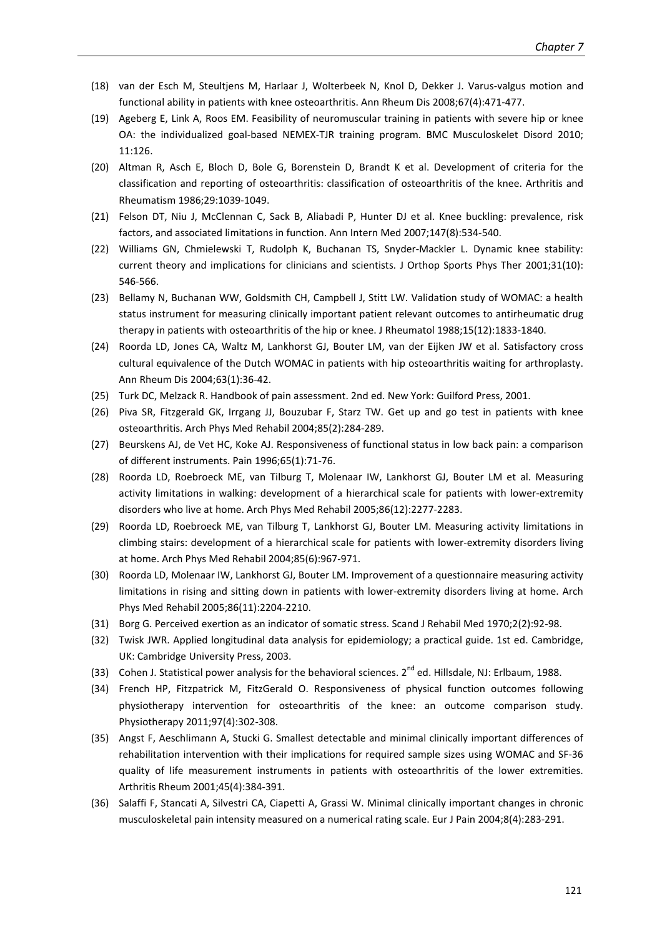- (18) van der Esch M, Steultjens M, Harlaar J, Wolterbeek N, Knol D, Dekker J. Varus-valgus motion and functional ability in patients with knee osteoarthritis. Ann Rheum Dis 2008;67(4):471-477.
- (19) Ageberg E, Link A, Roos EM. Feasibility of neuromuscular training in patients with severe hip or knee OA: the individualized goal-based NEMEX-TJR training program. BMC Musculoskelet Disord 2010; 11:126.
- (20) Altman R, Asch E, Bloch D, Bole G, Borenstein D, Brandt K et al. Development of criteria for the classification and reporting of osteoarthritis: classification of osteoarthritis of the knee. Arthritis and Rheumatism 1986;29:1039-1049.
- (21) Felson DT, Niu J, McClennan C, Sack B, Aliabadi P, Hunter DJ et al. Knee buckling: prevalence, risk factors, and associated limitations in function. Ann Intern Med 2007;147(8):534-540.
- (22) Williams GN, Chmielewski T, Rudolph K, Buchanan TS, Snyder-Mackler L. Dynamic knee stability: current theory and implications for clinicians and scientists. J Orthop Sports Phys Ther 2001;31(10): 546-566.
- (23) Bellamy N, Buchanan WW, Goldsmith CH, Campbell J, Stitt LW. Validation study of WOMAC: a health status instrument for measuring clinically important patient relevant outcomes to antirheumatic drug therapy in patients with osteoarthritis of the hip or knee. J Rheumatol 1988;15(12):1833-1840.
- (24) Roorda LD, Jones CA, Waltz M, Lankhorst GJ, Bouter LM, van der Eijken JW et al. Satisfactory cross cultural equivalence of the Dutch WOMAC in patients with hip osteoarthritis waiting for arthroplasty. Ann Rheum Dis 2004;63(1):36-42.
- (25) Turk DC, Melzack R. Handbook of pain assessment. 2nd ed. New York: Guilford Press, 2001.
- (26) Piva SR, Fitzgerald GK, Irrgang JJ, Bouzubar F, Starz TW. Get up and go test in patients with knee osteoarthritis. Arch Phys Med Rehabil 2004;85(2):284-289.
- (27) Beurskens AJ, de Vet HC, Koke AJ. Responsiveness of functional status in low back pain: a comparison of different instruments. Pain 1996;65(1):71-76.
- (28) Roorda LD, Roebroeck ME, van Tilburg T, Molenaar IW, Lankhorst GJ, Bouter LM et al. Measuring activity limitations in walking: development of a hierarchical scale for patients with lower-extremity disorders who live at home. Arch Phys Med Rehabil 2005;86(12):2277-2283.
- (29) Roorda LD, Roebroeck ME, van Tilburg T, Lankhorst GJ, Bouter LM. Measuring activity limitations in climbing stairs: development of a hierarchical scale for patients with lower-extremity disorders living at home. Arch Phys Med Rehabil 2004;85(6):967-971.
- (30) Roorda LD, Molenaar IW, Lankhorst GJ, Bouter LM. Improvement of a questionnaire measuring activity limitations in rising and sitting down in patients with lower-extremity disorders living at home. Arch Phys Med Rehabil 2005;86(11):2204-2210.
- (31) Borg G. Perceived exertion as an indicator of somatic stress. Scand J Rehabil Med 1970;2(2):92-98.
- (32) Twisk JWR. Applied longitudinal data analysis for epidemiology; a practical guide. 1st ed. Cambridge, UK: Cambridge University Press, 2003.
- (33) Cohen J. Statistical power analysis for the behavioral sciences.  $2^{nd}$  ed. Hillsdale, NJ: Erlbaum, 1988.
- (34) French HP, Fitzpatrick M, FitzGerald O. Responsiveness of physical function outcomes following physiotherapy intervention for osteoarthritis of the knee: an outcome comparison study. Physiotherapy 2011;97(4):302-308.
- (35) Angst F, Aeschlimann A, Stucki G. Smallest detectable and minimal clinically important differences of rehabilitation intervention with their implications for required sample sizes using WOMAC and SF-36 quality of life measurement instruments in patients with osteoarthritis of the lower extremities. Arthritis Rheum 2001;45(4):384-391.
- (36) Salaffi F, Stancati A, Silvestri CA, Ciapetti A, Grassi W. Minimal clinically important changes in chronic musculoskeletal pain intensity measured on a numerical rating scale. Eur J Pain 2004;8(4):283-291.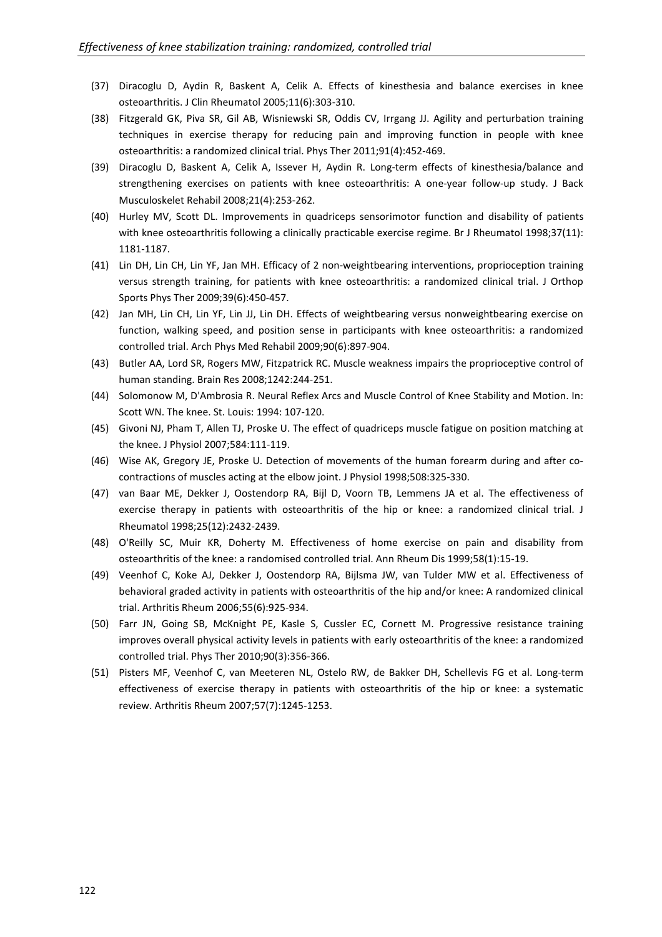- (37) Diracoglu D, Aydin R, Baskent A, Celik A. Effects of kinesthesia and balance exercises in knee osteoarthritis. J Clin Rheumatol 2005;11(6):303-310.
- (38) Fitzgerald GK, Piva SR, Gil AB, Wisniewski SR, Oddis CV, Irrgang JJ. Agility and perturbation training techniques in exercise therapy for reducing pain and improving function in people with knee osteoarthritis: a randomized clinical trial. Phys Ther 2011;91(4):452-469.
- (39) Diracoglu D, Baskent A, Celik A, Issever H, Aydin R. Long-term effects of kinesthesia/balance and strengthening exercises on patients with knee osteoarthritis: A one-year follow-up study. J Back Musculoskelet Rehabil 2008;21(4):253-262.
- (40) Hurley MV, Scott DL. Improvements in quadriceps sensorimotor function and disability of patients with knee osteoarthritis following a clinically practicable exercise regime. Br J Rheumatol 1998;37(11): 1181-1187.
- (41) Lin DH, Lin CH, Lin YF, Jan MH. Efficacy of 2 non-weightbearing interventions, proprioception training versus strength training, for patients with knee osteoarthritis: a randomized clinical trial. J Orthop Sports Phys Ther 2009;39(6):450-457.
- (42) Jan MH, Lin CH, Lin YF, Lin JJ, Lin DH. Effects of weightbearing versus nonweightbearing exercise on function, walking speed, and position sense in participants with knee osteoarthritis: a randomized controlled trial. Arch Phys Med Rehabil 2009;90(6):897-904.
- (43) Butler AA, Lord SR, Rogers MW, Fitzpatrick RC. Muscle weakness impairs the proprioceptive control of human standing. Brain Res 2008;1242:244-251.
- (44) Solomonow M, D'Ambrosia R. Neural Reflex Arcs and Muscle Control of Knee Stability and Motion. In: Scott WN. The knee. St. Louis: 1994: 107-120.
- (45) Givoni NJ, Pham T, Allen TJ, Proske U. The effect of quadriceps muscle fatigue on position matching at the knee. J Physiol 2007;584:111-119.
- (46) Wise AK, Gregory JE, Proske U. Detection of movements of the human forearm during and after cocontractions of muscles acting at the elbow joint. J Physiol 1998;508:325-330.
- (47) van Baar ME, Dekker J, Oostendorp RA, Bijl D, Voorn TB, Lemmens JA et al. The effectiveness of exercise therapy in patients with osteoarthritis of the hip or knee: a randomized clinical trial. J Rheumatol 1998;25(12):2432-2439.
- (48) O'Reilly SC, Muir KR, Doherty M. Effectiveness of home exercise on pain and disability from osteoarthritis of the knee: a randomised controlled trial. Ann Rheum Dis 1999;58(1):15-19.
- (49) Veenhof C, Koke AJ, Dekker J, Oostendorp RA, Bijlsma JW, van Tulder MW et al. Effectiveness of behavioral graded activity in patients with osteoarthritis of the hip and/or knee: A randomized clinical trial. Arthritis Rheum 2006;55(6):925-934.
- (50) Farr JN, Going SB, McKnight PE, Kasle S, Cussler EC, Cornett M. Progressive resistance training improves overall physical activity levels in patients with early osteoarthritis of the knee: a randomized controlled trial. Phys Ther 2010;90(3):356-366.
- (51) Pisters MF, Veenhof C, van Meeteren NL, Ostelo RW, de Bakker DH, Schellevis FG et al. Long-term effectiveness of exercise therapy in patients with osteoarthritis of the hip or knee: a systematic review. Arthritis Rheum 2007;57(7):1245-1253.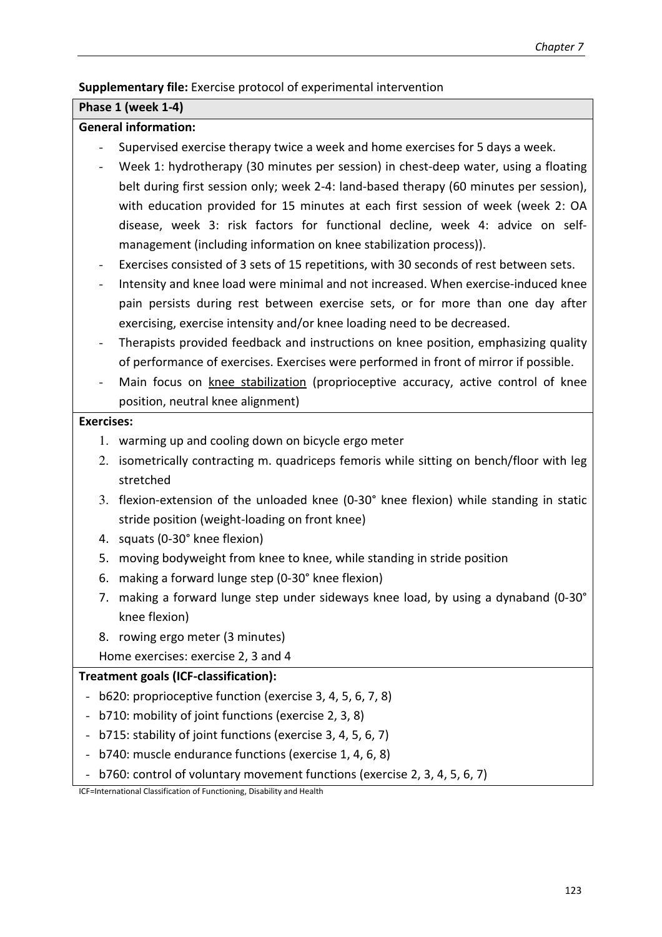## **Supplementary file:** Exercise protocol of experimental intervention

## **Phase 1 (week 1-4)**

## **General information:**

- Supervised exercise therapy twice a week and home exercises for 5 days a week.
- Week 1: hydrotherapy (30 minutes per session) in chest-deep water, using a floating belt during first session only; week 2-4: land-based therapy (60 minutes per session), with education provided for 15 minutes at each first session of week (week 2: OA disease, week 3: risk factors for functional decline, week 4: advice on selfmanagement (including information on knee stabilization process)).
- Exercises consisted of 3 sets of 15 repetitions, with 30 seconds of rest between sets.
- Intensity and knee load were minimal and not increased. When exercise-induced knee pain persists during rest between exercise sets, or for more than one day after exercising, exercise intensity and/or knee loading need to be decreased.
- Therapists provided feedback and instructions on knee position, emphasizing quality of performance of exercises. Exercises were performed in front of mirror if possible.
- Main focus on knee stabilization (proprioceptive accuracy, active control of knee position, neutral knee alignment)

## **Exercises:**

- 1. warming up and cooling down on bicycle ergo meter
- 2. isometrically contracting m. quadriceps femoris while sitting on bench/floor with leg stretched
- 3. flexion-extension of the unloaded knee (0-30° knee flexion) while standing in static stride position (weight-loading on front knee)
- 4. squats (0-30° knee flexion)
- 5. moving bodyweight from knee to knee, while standing in stride position
- 6. making a forward lunge step (0-30° knee flexion)
- 7. making a forward lunge step under sideways knee load, by using a dynaband (0-30° knee flexion)
- 8. rowing ergo meter (3 minutes)

Home exercises: exercise 2, 3 and 4

## **Treatment goals (ICF-classification):**

- b620: proprioceptive function (exercise 3, 4, 5, 6, 7, 8)
- b710: mobility of joint functions (exercise 2, 3, 8)
- b715: stability of joint functions (exercise 3, 4, 5, 6, 7)
- b740: muscle endurance functions (exercise 1, 4, 6, 8)
- b760: control of voluntary movement functions (exercise 2, 3, 4, 5, 6, 7)

ICF=International Classification of Functioning, Disability and Health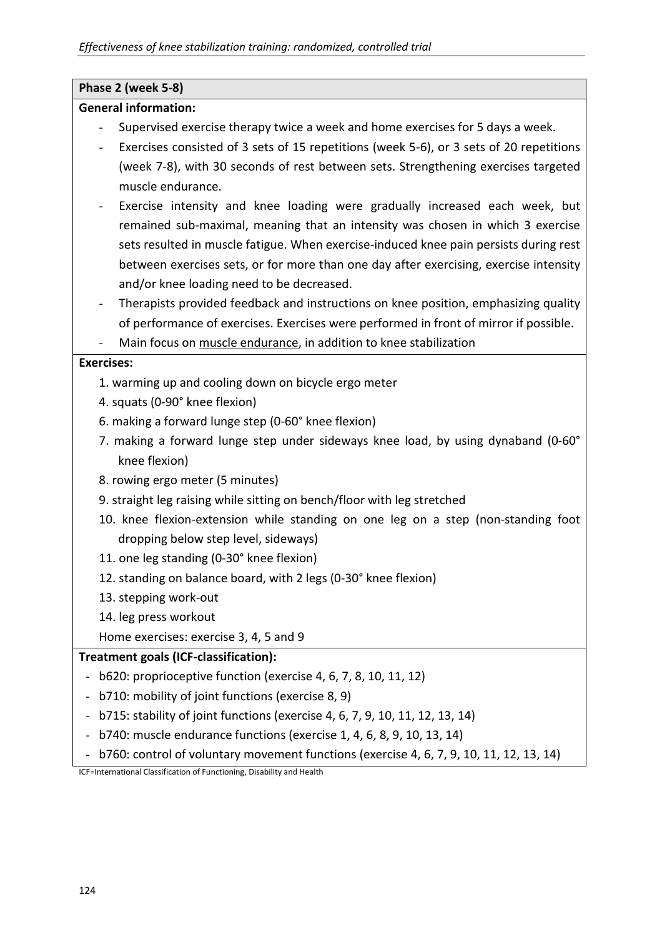# **Phase 2 (week 5-8)**

## **General information:**

- Supervised exercise therapy twice a week and home exercises for 5 days a week.
- Exercises consisted of 3 sets of 15 repetitions (week 5-6), or 3 sets of 20 repetitions (week 7-8), with 30 seconds of rest between sets. Strengthening exercises targeted muscle endurance.
- Exercise intensity and knee loading were gradually increased each week, but remained sub-maximal, meaning that an intensity was chosen in which 3 exercise sets resulted in muscle fatigue. When exercise-induced knee pain persists during rest between exercises sets, or for more than one day after exercising, exercise intensity and/or knee loading need to be decreased.
- Therapists provided feedback and instructions on knee position, emphasizing quality of performance of exercises. Exercises were performed in front of mirror if possible.
- Main focus on muscle endurance, in addition to knee stabilization

## **Exercises:**

- 1. warming up and cooling down on bicycle ergo meter
- 4. squats (0-90° knee flexion)
- 6. making a forward lunge step (0-60° knee flexion)
- 7. making a forward lunge step under sideways knee load, by using dynaband (0-60° knee flexion)
- 8. rowing ergo meter (5 minutes)
- 9. straight leg raising while sitting on bench/floor with leg stretched
- 10. knee flexion-extension while standing on one leg on a step (non-standing foot dropping below step level, sideways)
- 11. one leg standing (0-30° knee flexion)
- 12. standing on balance board, with 2 legs (0-30° knee flexion)
- 13. stepping work-out
- 14. leg press workout

Home exercises: exercise 3, 4, 5 and 9

## **Treatment goals (ICF-classification):**

- b620: proprioceptive function (exercise 4, 6, 7, 8, 10, 11, 12)
- b710: mobility of joint functions (exercise 8, 9)
- b715: stability of joint functions (exercise 4, 6, 7, 9, 10, 11, 12, 13, 14)
- b740: muscle endurance functions (exercise 1, 4, 6, 8, 9, 10, 13, 14)
- b760: control of voluntary movement functions (exercise 4, 6, 7, 9, 10, 11, 12, 13, 14)

ICF=International Classification of Functioning, Disability and Health